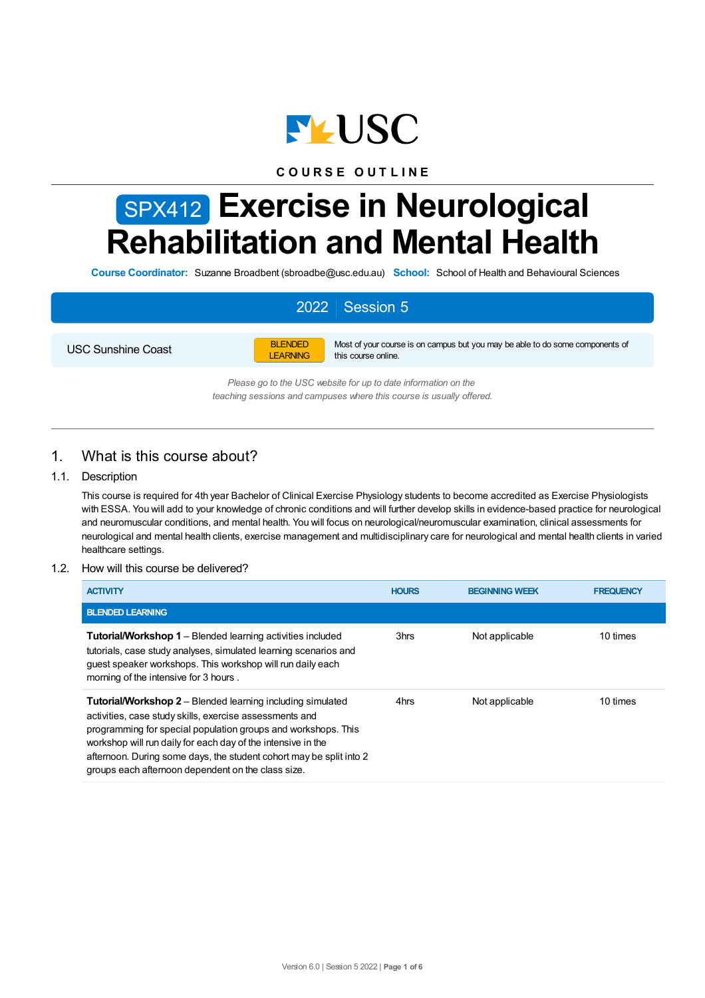

# **C O U R S E O U T L I N E**

# SPX412 **Exercise in Neurological Rehabilitation and Mental Health**

**Course Coordinator:** Suzanne Broadbent (sbroadbe@usc.edu.au) **School:** School of Health and Behavioural Sciences

# 2022 Session 5

USC Sunshine Coast



Most of your course is on campus but you may be able to do some components of this course online.

*Please go to the USC website for up to date information on the teaching sessions and campuses where this course is usually offered.*

# 1. What is this course about?

## 1.1. Description

This course is required for 4th year Bachelor of Clinical Exercise Physiology students to become accredited as Exercise Physiologists with ESSA. You will add to your knowledge of chronic conditions and will further develop skills in evidence-based practice for neurological and neuromuscular conditions, and mental health. You will focus on neurological/neuromuscular examination, clinical assessments for neurological and mental health clients, exercise management and multidisciplinary care for neurological and mental health clients in varied healthcare settings.

#### 1.2. How will this course be delivered?

| <b>ACTIVITY</b>                                                                                                                                                                                                                                                                                                                                                                            | <b>HOURS</b> | <b>BEGINNING WEEK</b> | <b>FREQUENCY</b> |
|--------------------------------------------------------------------------------------------------------------------------------------------------------------------------------------------------------------------------------------------------------------------------------------------------------------------------------------------------------------------------------------------|--------------|-----------------------|------------------|
| <b>BLENDED LEARNING</b>                                                                                                                                                                                                                                                                                                                                                                    |              |                       |                  |
| <b>Tutorial/Workshop 1</b> – Blended learning activities included<br>tutorials, case study analyses, simulated learning scenarios and<br>quest speaker workshops. This workshop will run daily each<br>morning of the intensive for 3 hours.                                                                                                                                               | 3hrs         | Not applicable        | 10 times         |
| <b>Tutorial/Workshop 2</b> – Blended learning including simulated<br>activities, case study skills, exercise assessments and<br>programming for special population groups and workshops. This<br>workshop will run daily for each day of the intensive in the<br>afternoon. During some days, the student cohort may be split into 2<br>groups each afternoon dependent on the class size. | 4hrs         | Not applicable        | 10 times         |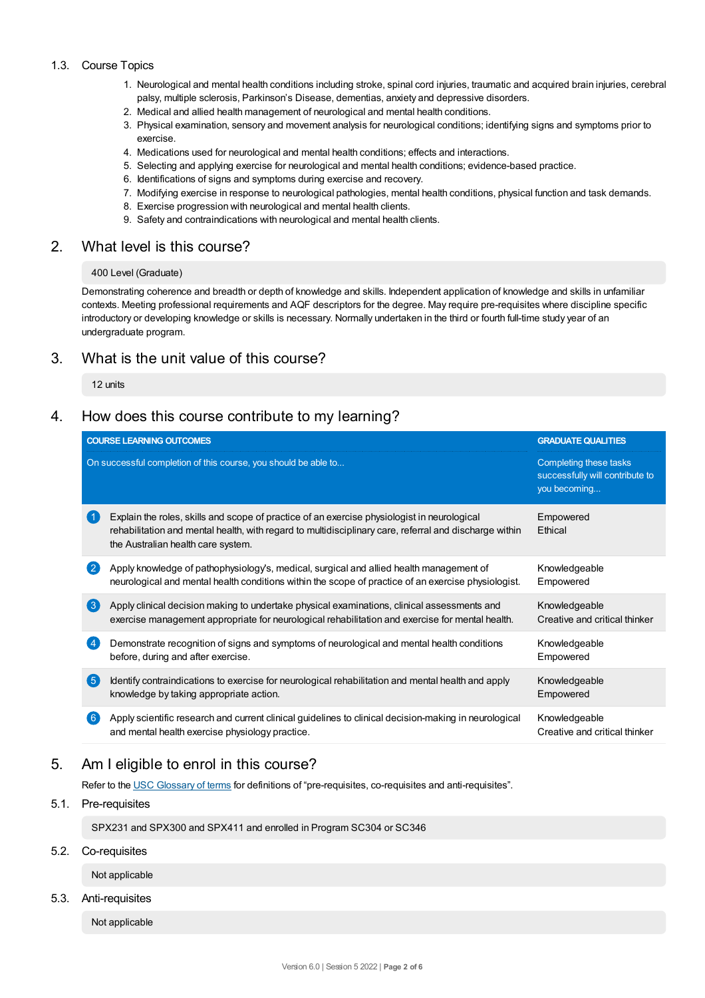## 1.3. Course Topics

- 1. Neurological and mental health conditions including stroke, spinal cord injuries, traumatic and acquired brain injuries, cerebral palsy, multiple sclerosis, Parkinson's Disease, dementias, anxiety and depressive disorders.
- 2. Medical and allied health management of neurological and mental health conditions.
- 3. Physical examination, sensory and movement analysis for neurological conditions; identifying signs and symptoms prior to exercise.
- 4. Medications used for neurological and mental health conditions; effects and interactions.
- 5. Selecting and applying exercise for neurological and mental health conditions; evidence-based practice.
- 6. Identifications of signs and symptoms during exercise and recovery.
- 7. Modifying exercise in response to neurological pathologies, mental health conditions, physical function and task demands.
- 8. Exercise progression with neurological and mental health clients.
- 9. Safety and contraindications with neurological and mental health clients.

## 2. What level is this course?

#### 400 Level (Graduate)

Demonstrating coherence and breadth or depth of knowledge and skills. Independent application of knowledge and skills in unfamiliar contexts. Meeting professional requirements and AQF descriptors for the degree. May require pre-requisites where discipline specific introductory or developing knowledge or skills is necessary. Normally undertaken in the third or fourth full-time study year of an undergraduate program.

# 3. What is the unit value of this course?

12 units

# 4. How does this course contribute to my learning?

|                              | <b>COURSE LEARNING OUTCOMES</b>                                                                                                                                                                                                             | <b>GRADUATE QUALITIES</b>                                                 |  |
|------------------------------|---------------------------------------------------------------------------------------------------------------------------------------------------------------------------------------------------------------------------------------------|---------------------------------------------------------------------------|--|
|                              | On successful completion of this course, you should be able to                                                                                                                                                                              | Completing these tasks<br>successfully will contribute to<br>you becoming |  |
|                              | Explain the roles, skills and scope of practice of an exercise physiologist in neurological<br>rehabilitation and mental health, with regard to multidisciplinary care, referral and discharge within<br>the Australian health care system. | Empowered<br>Ethical                                                      |  |
| $\overline{2}$               | Apply knowledge of pathophysiology's, medical, surgical and allied health management of<br>neurological and mental health conditions within the scope of practice of an exercise physiologist.                                              | Knowledgeable<br>Empowered                                                |  |
| $\left\lceil 3 \right\rceil$ | Apply clinical decision making to undertake physical examinations, clinical assessments and<br>exercise management appropriate for neurological rehabilitation and exercise for mental health.                                              | Knowledgeable<br>Creative and critical thinker                            |  |
| $\overline{4}$               | Demonstrate recognition of signs and symptoms of neurological and mental health conditions<br>before, during and after exercise.                                                                                                            | Knowledgeable<br>Empowered                                                |  |
| (5)                          | Identify contraindications to exercise for neurological rehabilitation and mental health and apply<br>knowledge by taking appropriate action.                                                                                               | Knowledgeable<br>Empowered                                                |  |
| $6^{\circ}$                  | Apply scientific research and current clinical guidelines to clinical decision-making in neurological<br>and mental health exercise physiology practice.                                                                                    | Knowledgeable<br>Creative and critical thinker                            |  |

# 5. Am Ieligible to enrol in this course?

Refer to the USC [Glossary](https://www.usc.edu.au/about/policies-and-procedures/glossary-of-terms-for-policy-and-procedures) of terms for definitions of "pre-requisites, co-requisites and anti-requisites".

## 5.1. Pre-requisites

SPX231 and SPX300 and SPX411 and enrolled in Program SC304 or SC346

## 5.2. Co-requisites

Not applicable

#### 5.3. Anti-requisites

Not applicable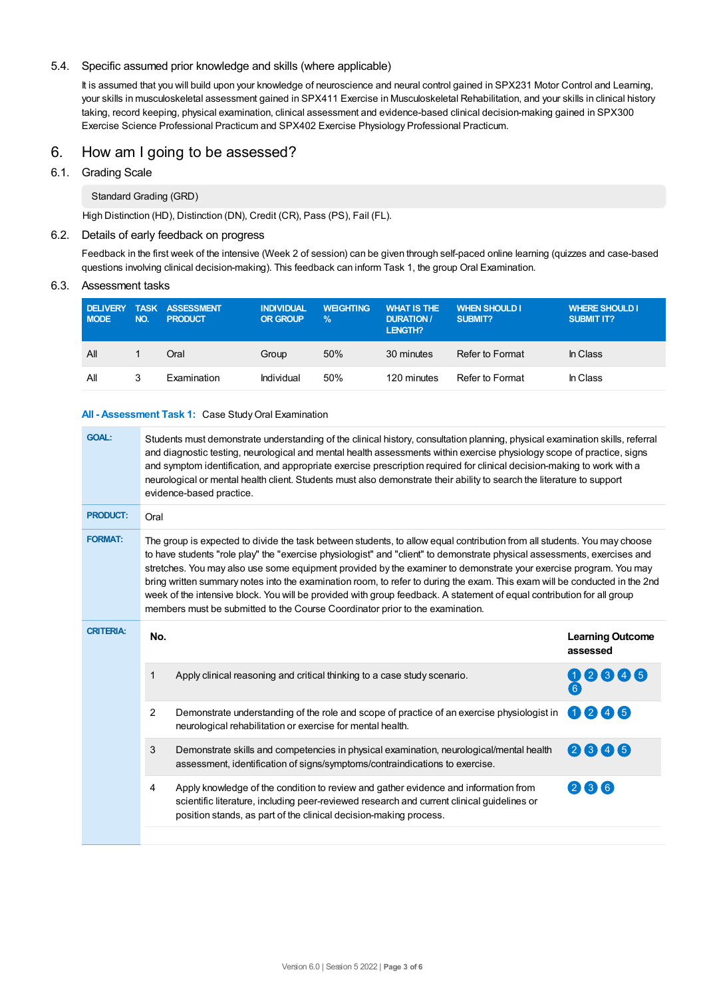## 5.4. Specific assumed prior knowledge and skills (where applicable)

It is assumed that you will build upon your knowledge of neuroscience and neural control gained in SPX231 Motor Control and Learning, your skills in musculoskeletal assessment gained in SPX411 Exercise in Musculoskeletal Rehabilitation, and your skills in clinical history taking, record keeping, physical examination, clinical assessment and evidence-based clinical decision-making gained in SPX300 Exercise Science Professional Practicum and SPX402 Exercise Physiology Professional Practicum.

# 6. How am Igoing to be assessed?

# 6.1. Grading Scale

Standard Grading (GRD)

High Distinction (HD), Distinction (DN), Credit (CR), Pass (PS), Fail (FL).

#### 6.2. Details of early feedback on progress

Feedback in the first week of the intensive (Week 2 of session) can be given through self-paced online learning (quizzes and case-based questions involving clinical decision-making). This feedback can inform Task 1, the group Oral Examination.

## 6.3. Assessment tasks

| <b>NODE</b> | NO. | <b>DELIVERY TASK ASSESSMENT</b><br><b>PRODUCT</b> | <b>INDIVIDUAL</b><br><b>OR GROUP</b> | <b>WEIGHTING</b><br>$\frac{9}{6}$ | <b>WHAT IS THE</b><br><b>DURATION /</b><br>LENGTH? | <b>WHEN SHOULD I</b><br>SUBMIT? | <b>WHERE SHOULD I</b><br><b>SUBMIT IT?</b> |
|-------------|-----|---------------------------------------------------|--------------------------------------|-----------------------------------|----------------------------------------------------|---------------------------------|--------------------------------------------|
| All         |     | Oral                                              | Group                                | 50%                               | 30 minutes                                         | Refer to Format                 | In Class                                   |
| All         |     | Examination                                       | Individual                           | 50%                               | 120 minutes                                        | Refer to Format                 | In Class                                   |

#### **All - Assessment Task 1:** Case StudyOral Examination

| <b>GOAL:</b>     | Students must demonstrate understanding of the clinical history, consultation planning, physical examination skills, referral<br>and diagnostic testing, neurological and mental health assessments within exercise physiology scope of practice, signs<br>and symptom identification, and appropriate exercise prescription required for clinical decision-making to work with a<br>neurological or mental health client. Students must also demonstrate their ability to search the literature to support<br>evidence-based practice.                                                                                                                                                                            |                                                                                                                                                                                                                                                        |                                     |  |  |  |
|------------------|--------------------------------------------------------------------------------------------------------------------------------------------------------------------------------------------------------------------------------------------------------------------------------------------------------------------------------------------------------------------------------------------------------------------------------------------------------------------------------------------------------------------------------------------------------------------------------------------------------------------------------------------------------------------------------------------------------------------|--------------------------------------------------------------------------------------------------------------------------------------------------------------------------------------------------------------------------------------------------------|-------------------------------------|--|--|--|
| <b>PRODUCT:</b>  | Oral                                                                                                                                                                                                                                                                                                                                                                                                                                                                                                                                                                                                                                                                                                               |                                                                                                                                                                                                                                                        |                                     |  |  |  |
| <b>FORMAT:</b>   | The group is expected to divide the task between students, to allow equal contribution from all students. You may choose<br>to have students "role play" the "exercise physiologist" and "client" to demonstrate physical assessments, exercises and<br>stretches. You may also use some equipment provided by the examiner to demonstrate your exercise program. You may<br>bring written summary notes into the examination room, to refer to during the exam. This exam will be conducted in the 2nd<br>week of the intensive block. You will be provided with group feedback. A statement of equal contribution for all group<br>members must be submitted to the Course Coordinator prior to the examination. |                                                                                                                                                                                                                                                        |                                     |  |  |  |
| <b>CRITERIA:</b> | No.                                                                                                                                                                                                                                                                                                                                                                                                                                                                                                                                                                                                                                                                                                                |                                                                                                                                                                                                                                                        | <b>Learning Outcome</b><br>assessed |  |  |  |
|                  | $\mathbf 1$                                                                                                                                                                                                                                                                                                                                                                                                                                                                                                                                                                                                                                                                                                        | Apply clinical reasoning and critical thinking to a case study scenario.                                                                                                                                                                               | 2<br>345                            |  |  |  |
|                  | 2                                                                                                                                                                                                                                                                                                                                                                                                                                                                                                                                                                                                                                                                                                                  | Demonstrate understanding of the role and scope of practice of an exercise physiologist in<br>neurological rehabilitation or exercise for mental health.                                                                                               | 0006                                |  |  |  |
|                  | 3                                                                                                                                                                                                                                                                                                                                                                                                                                                                                                                                                                                                                                                                                                                  | Demonstrate skills and competencies in physical examination, neurological/mental health<br>assessment, identification of signs/symptoms/contraindications to exercise.                                                                                 | 2345                                |  |  |  |
|                  | 4                                                                                                                                                                                                                                                                                                                                                                                                                                                                                                                                                                                                                                                                                                                  | Apply knowledge of the condition to review and gather evidence and information from<br>scientific literature, including peer-reviewed research and current clinical guidelines or<br>position stands, as part of the clinical decision-making process. | (2)(3)(6)                           |  |  |  |
|                  |                                                                                                                                                                                                                                                                                                                                                                                                                                                                                                                                                                                                                                                                                                                    |                                                                                                                                                                                                                                                        |                                     |  |  |  |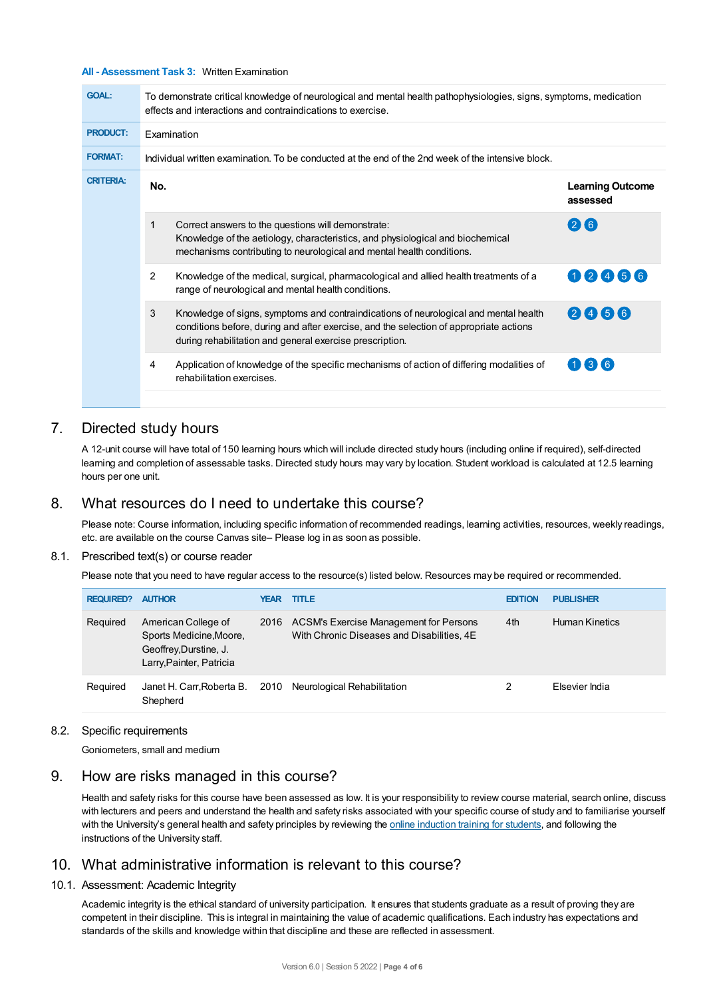#### **All - Assessment Task 3:** Written Examination

| <b>GOAL:</b>     | To demonstrate critical knowledge of neurological and mental health pathophysiologies, signs, symptoms, medication<br>effects and interactions and contraindications to exercise.                                                               |                                     |  |  |  |  |  |
|------------------|-------------------------------------------------------------------------------------------------------------------------------------------------------------------------------------------------------------------------------------------------|-------------------------------------|--|--|--|--|--|
| <b>PRODUCT:</b>  | Examination                                                                                                                                                                                                                                     |                                     |  |  |  |  |  |
| <b>FORMAT:</b>   | Individual written examination. To be conducted at the end of the 2nd week of the intensive block.                                                                                                                                              |                                     |  |  |  |  |  |
| <b>CRITERIA:</b> | No.                                                                                                                                                                                                                                             | <b>Learning Outcome</b><br>assessed |  |  |  |  |  |
|                  | 1<br>Correct answers to the questions will demonstrate:<br>Knowledge of the aetiology, characteristics, and physiological and biochemical<br>mechanisms contributing to neurological and mental health conditions.                              | $(2)$ $(6)$                         |  |  |  |  |  |
|                  | 2<br>Knowledge of the medical, surgical, pharmacological and allied health treatments of a<br>range of neurological and mental health conditions.                                                                                               | 02456                               |  |  |  |  |  |
|                  | 3<br>Knowledge of signs, symptoms and contraindications of neurological and mental health<br>conditions before, during and after exercise, and the selection of appropriate actions<br>during rehabilitation and general exercise prescription. | 2456                                |  |  |  |  |  |
|                  | Application of knowledge of the specific mechanisms of action of differing modalities of<br>4<br>rehabilitation exercises.                                                                                                                      | 136                                 |  |  |  |  |  |

# 7. Directed study hours

A 12-unit course will have total of 150 learning hours which will include directed study hours (including online if required), self-directed learning and completion of assessable tasks. Directed study hours may vary by location. Student workload is calculated at 12.5 learning hours per one unit.

# 8. What resources do I need to undertake this course?

Please note: Course information, including specific information of recommended readings, learning activities, resources, weekly readings, etc. are available on the course Canvas site– Please log in as soon as possible.

#### 8.1. Prescribed text(s) or course reader

Please note that you need to have regular access to the resource(s) listed below. Resources may be required or recommended.

| <b>REQUIRED?</b> | <b>AUTHOR</b>                                                                                        | YEAR | <b>TITLE</b>                                                                              | <b>EDITION</b> | <b>PUBLISHER</b>      |
|------------------|------------------------------------------------------------------------------------------------------|------|-------------------------------------------------------------------------------------------|----------------|-----------------------|
| Required         | American College of<br>Sports Medicine, Moore,<br>Geoffrey, Durstine, J.<br>Larry, Painter, Patricia |      | 2016 ACSM's Exercise Management for Persons<br>With Chronic Diseases and Disabilities, 4E | 4th            | <b>Human Kinetics</b> |
| Required         | Janet H. Carr, Roberta B. 2010<br>Shepherd                                                           |      | Neurological Rehabilitation                                                               |                | Elsevier India        |

#### 8.2. Specific requirements

Goniometers, small and medium

## 9. How are risks managed in this course?

Health and safety risks for this course have been assessed as low. It is your responsibility to review course material, search online, discuss with lecturers and peers and understand the health and safety risks associated with your specific course of study and to familiarise yourself with the University's general health and safety principles by reviewing the online [induction](https://online.usc.edu.au/webapps/blackboard/content/listContentEditable.jsp?content_id=_632657_1&course_id=_14432_1) training for students, and following the instructions of the University staff.

# 10. What administrative information is relevant to this course?

#### 10.1. Assessment: Academic Integrity

Academic integrity is the ethical standard of university participation. It ensures that students graduate as a result of proving they are competent in their discipline. This is integral in maintaining the value of academic qualifications. Each industry has expectations and standards of the skills and knowledge within that discipline and these are reflected in assessment.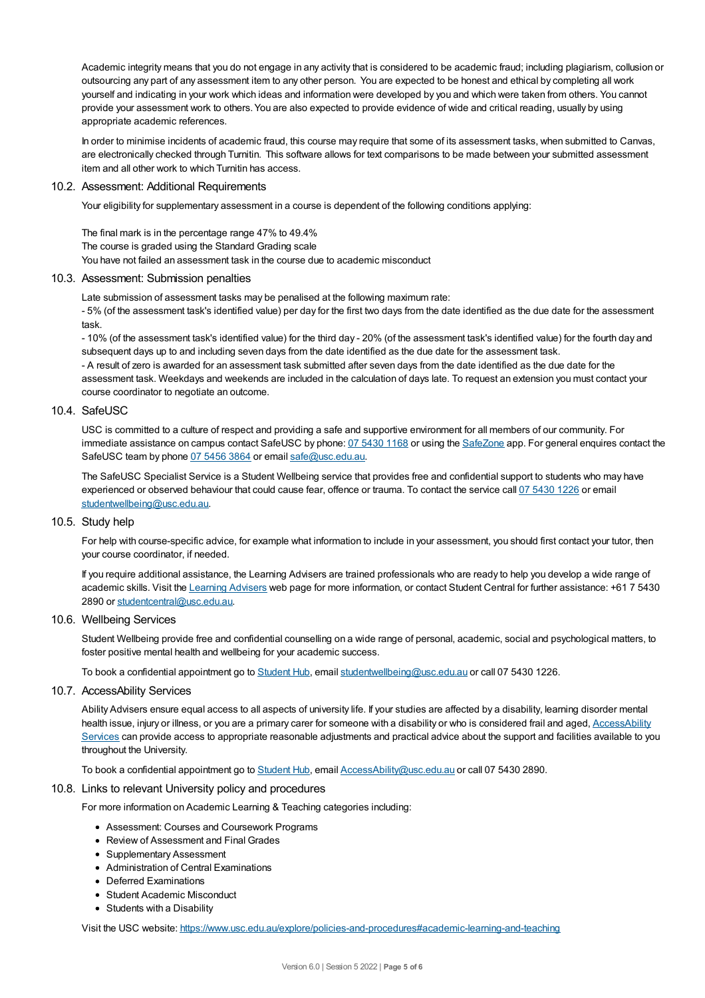Academic integrity means that you do not engage in any activity that is considered to be academic fraud; including plagiarism, collusion or outsourcing any part of any assessment item to any other person. You are expected to be honest and ethical by completing all work yourself and indicating in your work which ideas and information were developed by you and which were taken from others. You cannot provide your assessment work to others.You are also expected to provide evidence of wide and critical reading, usually by using appropriate academic references.

In order to minimise incidents of academic fraud, this course may require that some of its assessment tasks, when submitted to Canvas, are electronically checked through Turnitin. This software allows for text comparisons to be made between your submitted assessment item and all other work to which Turnitin has access.

#### 10.2. Assessment: Additional Requirements

Your eligibility for supplementary assessment in a course is dependent of the following conditions applying:

The final mark is in the percentage range 47% to 49.4% The course is graded using the Standard Grading scale You have not failed an assessment task in the course due to academic misconduct

#### 10.3. Assessment: Submission penalties

Late submission of assessment tasks may be penalised at the following maximum rate:

- 5% (of the assessment task's identified value) per day for the first two days from the date identified as the due date for the assessment task.

- 10% (of the assessment task's identified value) for the third day - 20% (of the assessment task's identified value) for the fourth day and subsequent days up to and including seven days from the date identified as the due date for the assessment task. - A result of zero is awarded for an assessment task submitted after seven days from the date identified as the due date for the assessment task. Weekdays and weekends are included in the calculation of days late. To request an extension you must contact your course coordinator to negotiate an outcome.

#### 10.4. SafeUSC

USC is committed to a culture of respect and providing a safe and supportive environment for all members of our community. For immediate assistance on campus contact SafeUSC by phone: 07 [5430](tel:07%205430%201168) 1168 or using the [SafeZone](https://www.safezoneapp.com) app. For general enquires contact the SafeUSC team by phone 07 [5456](tel:07%205456%203864) 3864 or email [safe@usc.edu.au](mailto:safe@usc.edu.au).

The SafeUSC Specialist Service is a Student Wellbeing service that provides free and confidential support to students who may have experienced or observed behaviour that could cause fear, offence or trauma. To contact the service call 07 [5430](tel:07%205430%201226) 1226 or email [studentwellbeing@usc.edu.au](mailto:studentwellbeing@usc.edu.au).

#### 10.5. Study help

For help with course-specific advice, for example what information to include in your assessment, you should first contact your tutor, then your course coordinator, if needed.

If you require additional assistance, the Learning Advisers are trained professionals who are ready to help you develop a wide range of academic skills. Visit the Learning [Advisers](https://www.usc.edu.au/current-students/student-support/academic-and-study-support/learning-advisers) web page for more information, or contact Student Central for further assistance: +61 7 5430 2890 or [studentcentral@usc.edu.au](mailto:studentcentral@usc.edu.au).

## 10.6. Wellbeing Services

Student Wellbeing provide free and confidential counselling on a wide range of personal, academic, social and psychological matters, to foster positive mental health and wellbeing for your academic success.

To book a confidential appointment go to [Student](https://studenthub.usc.edu.au/) Hub, email [studentwellbeing@usc.edu.au](mailto:studentwellbeing@usc.edu.au) or call 07 5430 1226.

#### 10.7. AccessAbility Services

Ability Advisers ensure equal access to all aspects of university life. If your studies are affected by a disability, learning disorder mental health issue, injury or illness, or you are a primary carer for someone with a disability or who is considered frail and aged, [AccessAbility](https://www.usc.edu.au/learn/student-support/accessability-services/documentation-requirements) Services can provide access to appropriate reasonable adjustments and practical advice about the support and facilities available to you throughout the University.

To book a confidential appointment go to [Student](https://studenthub.usc.edu.au/) Hub, email [AccessAbility@usc.edu.au](mailto:AccessAbility@usc.edu.au) or call 07 5430 2890.

#### 10.8. Links to relevant University policy and procedures

For more information on Academic Learning & Teaching categories including:

- Assessment: Courses and Coursework Programs
- Review of Assessment and Final Grades
- Supplementary Assessment
- Administration of Central Examinations
- Deferred Examinations
- Student Academic Misconduct
- Students with a Disability

Visit the USC website: <https://www.usc.edu.au/explore/policies-and-procedures#academic-learning-and-teaching>